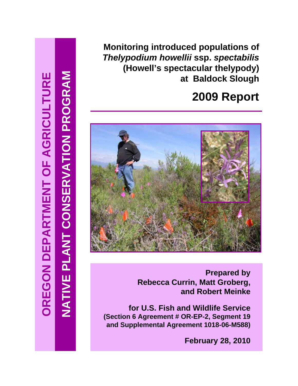**Monitoring introduced populations of**  *Thelypodium howellii* **ssp.** *spectabilis* **(Howell's spectacular thelypody) at Baldock Slough** 

# **2009 Report**



**Prepared by Rebecca Currin, Matt Groberg, and Robert Meinke**

**for U.S. Fish and Wildlife Service (Section 6 Agreement # OR-EP-2, Segment 19 and Supplemental Agreement 1018-06-M588)**

**February 28, 2010**

**NATIVE PLANT CONSERVATION PROGRAM**

**NATIVE PLANT CONSERVATION PROGRAM**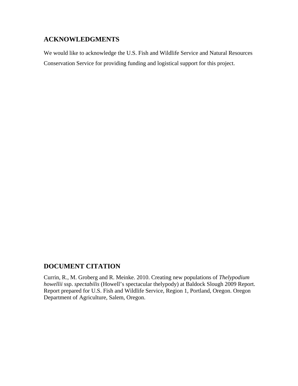## **ACKNOWLEDGMENTS**

We would like to acknowledge the U.S. Fish and Wildlife Service and Natural Resources Conservation Service for providing funding and logistical support for this project.

## **DOCUMENT CITATION**

Currin, R., M. Groberg and R. Meinke. 2010. Creating new populations of *Thelypodium howellii* ssp. *spectabilis* (Howell's spectacular thelypody) at Baldock Slough 2009 Report. Report prepared for U.S. Fish and Wildlife Service, Region 1, Portland, Oregon. Oregon Department of Agriculture, Salem, Oregon.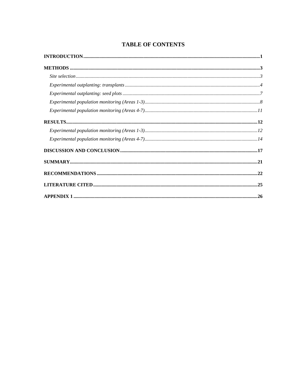## **TABLE OF CONTENTS**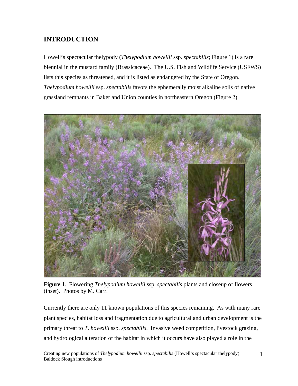# **INTRODUCTION**

Howell's spectacular thelypody (*Thelypodium howellii* ssp. *spectabilis*; Figure 1) is a rare biennial in the mustard family (Brassicaceae). The U.S. Fish and Wildlife Service (USFWS) lists this species as threatened, and it is listed as endangered by the State of Oregon. *Thelypodium howellii* ssp. *spectabilis* favors the ephemerally moist alkaline soils of native grassland remnants in Baker and Union counties in northeastern Oregon (Figure 2).



**Figure 1**. Flowering *Thelypodium howellii* ssp. *spectabilis* plants and closeup of flowers (inset). Photos by M. Carr.

Currently there are only 11 known populations of this species remaining. As with many rare plant species, habitat loss and fragmentation due to agricultural and urban development is the primary threat to *T. howellii* ssp. *spectabilis*. Invasive weed competition, livestock grazing, and hydrological alteration of the habitat in which it occurs have also played a role in the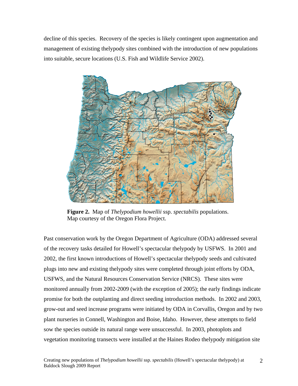decline of this species. Recovery of the species is likely contingent upon augmentation and management of existing thelypody sites combined with the introduction of new populations into suitable, secure locations (U.S. Fish and Wildlife Service 2002).



 **Figure 2.** Map of *Thelypodium howellii* ssp. *spectabilis* populations. Map courtesy of the Oregon Flora Project.

Past conservation work by the Oregon Department of Agriculture (ODA) addressed several of the recovery tasks detailed for Howell's spectacular thelypody by USFWS. In 2001 and 2002, the first known introductions of Howell's spectacular thelypody seeds and cultivated plugs into new and existing thelypody sites were completed through joint efforts by ODA, USFWS, and the Natural Resources Conservation Service (NRCS). These sites were monitored annually from 2002-2009 (with the exception of 2005); the early findings indicate promise for both the outplanting and direct seeding introduction methods. In 2002 and 2003, grow-out and seed increase programs were initiated by ODA in Corvallis, Oregon and by two plant nurseries in Connell, Washington and Boise, Idaho. However, these attempts to field sow the species outside its natural range were unsuccessful. In 2003, photoplots and vegetation monitoring transects were installed at the Haines Rodeo thelypody mitigation site

2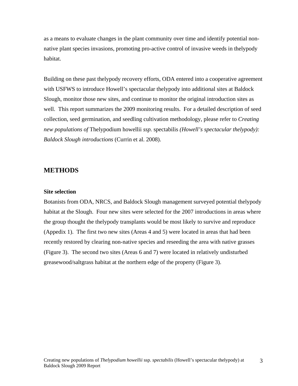as a means to evaluate changes in the plant community over time and identify potential nonnative plant species invasions, promoting pro-active control of invasive weeds in thelypody habitat.

Building on these past thelypody recovery efforts, ODA entered into a cooperative agreement with USFWS to introduce Howell's spectacular thelypody into additional sites at Baldock Slough, monitor those new sites, and continue to monitor the original introduction sites as well. This report summarizes the 2009 monitoring results. For a detailed description of seed collection, seed germination, and seedling cultivation methodology, please refer to *Creating new populations of* Thelypodium howellii *ssp.* spectabilis *(Howell's spectacular thelypody): Baldock Slough introductions* (Currin et al. 2008).

#### **METHODS**

#### **Site selection**

Botanists from ODA, NRCS, and Baldock Slough management surveyed potential thelypody habitat at the Slough. Four new sites were selected for the 2007 introductions in areas where the group thought the thelypody transplants would be most likely to survive and reproduce (Appedix 1). The first two new sites (Areas 4 and 5) were located in areas that had been recently restored by clearing non-native species and reseeding the area with native grasses (Figure 3). The second two sites (Areas 6 and 7) were located in relatively undisturbed greasewood/saltgrass habitat at the northern edge of the property (Figure 3).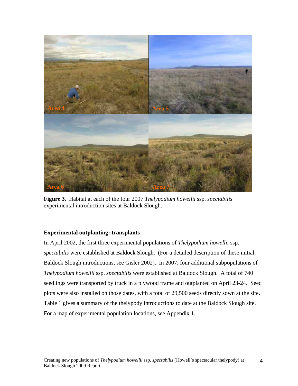

**Figure 3**. Habitat at each of the four 2007 *Thelypodium howellii* ssp. *spectabilis* experimental introduction sites at Baldock Slough.

## **Experimental outplanting: transplants**

In April 2002, the first three experimental populations of *Thelypodium howellii* ssp. *spectabilis* were established at Baldock Slough. (For a detailed description of these initial Baldock Slough introductions, see Gisler 2002). In 2007, four additional subpopulations of *Thelypodium howellii* ssp. *spectabilis* were established at Baldock Slough. A total of 740 seedlings were transported by truck in a plywood frame and outplanted on April 23-24. Seed plots were also installed on those dates, with a total of 29,500 seeds directly sown at the site. Table 1 gives a summary of the thelypody introductions to date at the Baldock Slough site. For a map of experimental population locations, see Appendix 1.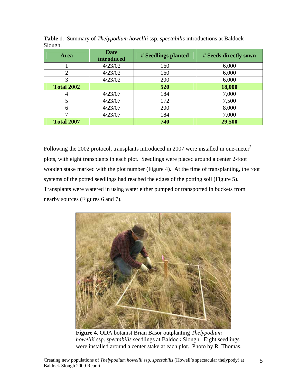| <b>Area</b>       | <b>Date</b><br>introduced | # Seedlings planted | # Seeds directly sown |
|-------------------|---------------------------|---------------------|-----------------------|
|                   | 4/23/02                   | 160                 | 6,000                 |
| $\overline{2}$    | 4/23/02                   | 160                 | 6,000                 |
|                   | 4/23/02                   | 200                 | 6,000                 |
| <b>Total 2002</b> |                           | 520                 | 18,000                |
|                   | 4/23/07                   | 184                 | 7,000                 |
| 5                 | 4/23/07                   | 172                 | 7,500                 |
| 6                 | 4/23/07                   | 200                 | 8,000                 |
|                   | 4/23/07                   | 184                 | 7,000                 |
| <b>Total 2007</b> |                           | 740                 | 29,500                |

**Table 1**. Summary of *Thelypodium howellii* ssp. *spectabilis* introductions at Baldock Slough.

Following the 2002 protocol, transplants introduced in 2007 were installed in one-meter<sup>2</sup> plots, with eight transplants in each plot. Seedlings were placed around a center 2-foot wooden stake marked with the plot number (Figure 4). At the time of transplanting, the root systems of the potted seedlings had reached the edges of the potting soil (Figure 5). Transplants were watered in using water either pumped or transported in buckets from nearby sources (Figures 6 and 7).



 **Figure 4**. ODA botanist Brian Basor outplanting *Thelypodium howellii* ssp. *spectabilis* seedlings at Baldock Slough. Eight seedlings were installed around a center stake at each plot. Photo by R. Thomas.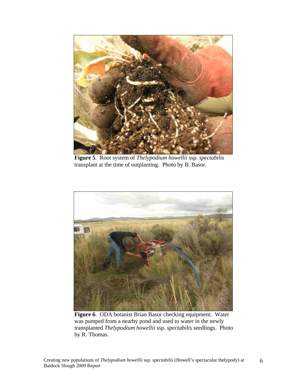

 **Figure 5**. Root system of *Thelypodium howellii* ssp. *spectabilis* transplant at the time of outplanting. Photo by B. Basor.



 **Figure 6**. ODA botanist Brian Basor checking equipment. Water was pumped from a nearby pond and used to water in the newly transplanted *Thelypodium howellii* ssp. *spectabilis* seedlings. Photo by R. Thomas.

6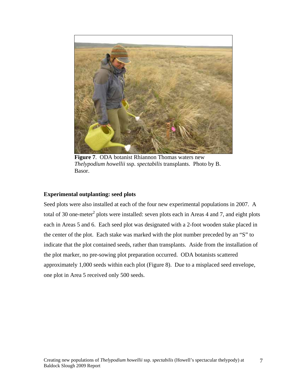

 **Figure 7**. ODA botanist Rhiannon Thomas waters new *Thelypodium howellii* ssp. *spectabilis* transplants. Photo by B. Basor.

## **Experimental outplanting: seed plots**

Seed plots were also installed at each of the four new experimental populations in 2007. A total of 30 one-meter<sup>2</sup> plots were installed: seven plots each in Areas 4 and 7, and eight plots each in Areas 5 and 6. Each seed plot was designated with a 2-foot wooden stake placed in the center of the plot. Each stake was marked with the plot number preceded by an "S" to indicate that the plot contained seeds, rather than transplants. Aside from the installation of the plot marker, no pre-sowing plot preparation occurred. ODA botanists scattered approximately 1,000 seeds within each plot (Figure 8). Due to a misplaced seed envelope, one plot in Area 5 received only 500 seeds.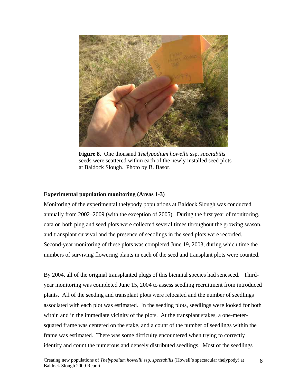

**Figure 8**. One thousand *Thelypodium howellii* ssp. *spectabilis* seeds were scattered within each of the newly installed seed plots at Baldock Slough. Photo by B. Basor.

#### **Experimental population monitoring (Areas 1-3)**

Monitoring of the experimental thelypody populations at Baldock Slough was conducted annually from 2002–2009 (with the exception of 2005). During the first year of monitoring, data on both plug and seed plots were collected several times throughout the growing season, and transplant survival and the presence of seedlings in the seed plots were recorded. Second-year monitoring of these plots was completed June 19, 2003, during which time the numbers of surviving flowering plants in each of the seed and transplant plots were counted.

By 2004, all of the original transplanted plugs of this biennial species had senesced. Thirdyear monitoring was completed June 15, 2004 to assess seedling recruitment from introduced plants. All of the seeding and transplant plots were relocated and the number of seedlings associated with each plot was estimated. In the seeding plots, seedlings were looked for both within and in the immediate vicinity of the plots. At the transplant stakes, a one-metersquared frame was centered on the stake, and a count of the number of seedlings within the frame was estimated. There was some difficulty encountered when trying to correctly identify and count the numerous and densely distributed seedlings. Most of the seedlings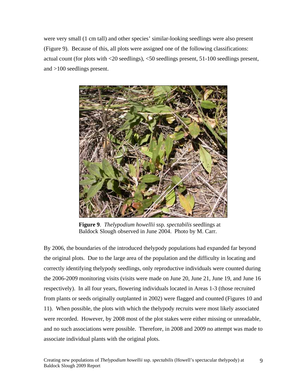were very small (1 cm tall) and other species' similar-looking seedlings were also present (Figure 9). Because of this, all plots were assigned one of the following classifications: actual count (for plots with <20 seedlings), <50 seedlings present, 51-100 seedlings present, and >100 seedlings present.



**Figure 9**. *Thelypodium howellii* ssp. *spectabilis* seedlings at Baldock Slough observed in June 2004. Photo by M. Carr.

By 2006, the boundaries of the introduced thelypody populations had expanded far beyond the original plots. Due to the large area of the population and the difficulty in locating and correctly identifying thelypody seedlings, only reproductive individuals were counted during the 2006-2009 monitoring visits (visits were made on June 20, June 21, June 19, and June 16 respectively). In all four years, flowering individuals located in Areas 1-3 (those recruited from plants or seeds originally outplanted in 2002) were flagged and counted (Figures 10 and 11). When possible, the plots with which the thelypody recruits were most likely associated were recorded. However, by 2008 most of the plot stakes were either missing or unreadable, and no such associations were possible. Therefore, in 2008 and 2009 no attempt was made to associate individual plants with the original plots.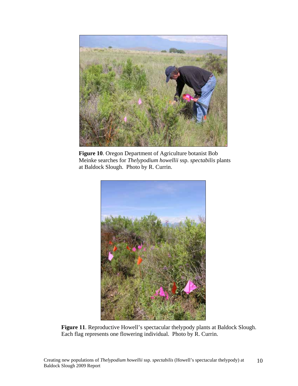

**Figure 10**. Oregon Department of Agriculture botanist Bob Meinke searches for *Thelypodium howellii* ssp. *spectabilis* plants at Baldock Slough. Photo by R. Currin.



**Figure 11**. Reproductive Howell's spectacular thelypody plants at Baldock Slough. Each flag represents one flowering individual. Photo by R. Currin.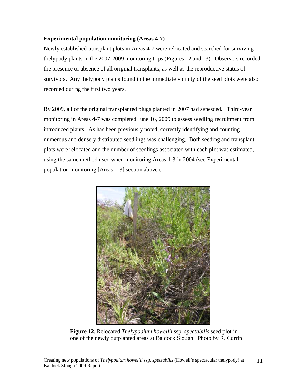## **Experimental population monitoring (Areas 4-7)**

Newly established transplant plots in Areas 4-7 were relocated and searched for surviving thelypody plants in the 2007-2009 monitoring trips (Figures 12 and 13). Observers recorded the presence or absence of all original transplants, as well as the reproductive status of survivors. Any thelypody plants found in the immediate vicinity of the seed plots were also recorded during the first two years.

By 2009, all of the original transplanted plugs planted in 2007 had senesced. Third-year monitoring in Areas 4-7 was completed June 16, 2009 to assess seedling recruitment from introduced plants. As has been previously noted, correctly identifying and counting numerous and densely distributed seedlings was challenging. Both seeding and transplant plots were relocated and the number of seedlings associated with each plot was estimated, using the same method used when monitoring Areas 1-3 in 2004 (see Experimental population monitoring [Areas 1-3] section above).



 **Figure 12**. Relocated *Thelypodium howellii* ssp. *spectabilis* seed plot in one of the newly outplanted areas at Baldock Slough. Photo by R. Currin.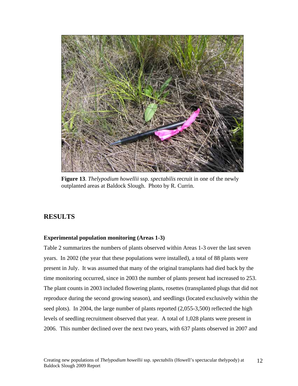

**Figure 13**. *Thelypodium howellii* ssp. *spectabilis* recruit in one of the newly outplanted areas at Baldock Slough. Photo by R. Currin.

## **RESULTS**

#### **Experimental population monitoring (Areas 1-3)**

Table 2 summarizes the numbers of plants observed within Areas 1-3 over the last seven years. In 2002 (the year that these populations were installed), a total of 88 plants were present in July. It was assumed that many of the original transplants had died back by the time monitoring occurred, since in 2003 the number of plants present had increased to 253. The plant counts in 2003 included flowering plants, rosettes (transplanted plugs that did not reproduce during the second growing season), and seedlings (located exclusively within the seed plots). In 2004, the large number of plants reported  $(2,055-3,500)$  reflected the high levels of seedling recruitment observed that year. A total of 1,028 plants were present in 2006. This number declined over the next two years, with 637 plants observed in 2007 and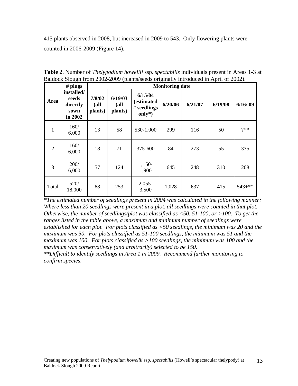415 plants observed in 2008, but increased in 2009 to 543. Only flowering plants were counted in 2006-2009 (Figure 14).

|       | $#$ plugs                                          | <b>Monitoring date</b>    |                            |                                                          |         |         |         |           |
|-------|----------------------------------------------------|---------------------------|----------------------------|----------------------------------------------------------|---------|---------|---------|-----------|
| Area  | installed/<br>seeds<br>directly<br>sown<br>in 2002 | 7/8/02<br>(all<br>plants) | 6/19/03<br>(all<br>plants) | 6/15/04<br><i>(estimated)</i><br># seedlings<br>$only*)$ | 6/20/06 | 6/21/07 | 6/19/08 | 6/16/09   |
| 1     | 160/<br>6,000                                      | 13                        | 58                         | 530-1,000                                                | 299     | 116     | 50      | $2**$     |
| 2     | 160/<br>6,000                                      | 18                        | 71                         | 375-600                                                  | 84      | 273     | 55      | 335       |
| 3     | 200/<br>6,000                                      | 57                        | 124                        | $1,150-$<br>1,900                                        | 645     | 248     | 310     | 208       |
| Total | 520/<br>18,000                                     | 88                        | 253                        | $2,055-$<br>3,500                                        | 1,028   | 637     | 415     | $543+***$ |

**Table 2**. Number of *Thelypodium howellii* ssp. *spectabilis* individuals present in Areas 1-3 at Baldock Slough from 2002-2009 (plants/seeds originally introduced in April of 2002).

*\*The estimated number of seedlings present in 2004 was calculated in the following manner: Where less than 20 seedlings were present in a plot, all seedlings were counted in that plot. Otherwise, the number of seedlings/plot was classified as <50, 51-100, or >100. To get the ranges listed in the table above, a maximum and minimum number of seedlings were established for each plot. For plots classified as <50 seedlings, the minimum was 20 and the maximum was 50. For plots classified as 51-100 seedlings, the minimum was 51 and the maximum was 100. For plots classified as >100 seedlings, the minimum was 100 and the maximum was conservatively (and arbitrarily) selected to be 150.* 

*\*\*Difficult to identify seedlings in Area 1 in 2009. Recommend further monitoring to confirm species.*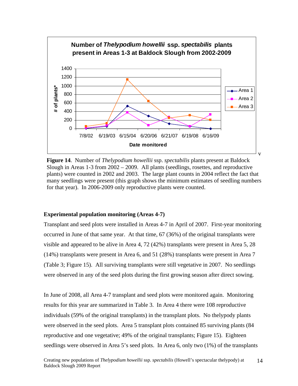

 **Figure 14**. Number of *Thelypodium howellii* ssp. *spectabilis* plants present at Baldock Slough in Areas 1-3 from 2002 – 2009. All plants (seedlings, rosettes, and reproductive plants) were counted in 2002 and 2003. The large plant counts in 2004 reflect the fact that many seedlings were present (this graph shows the minimum estimates of seedling numbers for that year). In 2006-2009 only reproductive plants were counted.

#### **Experimental population monitoring (Areas 4-7)**

Transplant and seed plots were installed in Areas 4-7 in April of 2007. First-year monitoring occurred in June of that same year. At that time, 67 (36%) of the original transplants were visible and appeared to be alive in Area 4, 72 (42%) transplants were present in Area 5, 28 (14%) transplants were present in Area 6, and 51 (28%) transplants were present in Area 7 (Table 3; Figure 15). All surviving transplants were still vegetative in 2007. No seedlings were observed in any of the seed plots during the first growing season after direct sowing.

In June of 2008, all Area 4-7 transplant and seed plots were monitored again. Monitoring results for this year are summarized in Table 3. In Area 4 there were 108 reproductive individuals (59% of the original transplants) in the transplant plots. No thelypody plants were observed in the seed plots. Area 5 transplant plots contained 85 surviving plants (84 reproductive and one vegetative; 49% of the original transplants; Figure 15). Eighteen seedlings were observed in Area 5's seed plots. In Area 6, only two (1%) of the transplants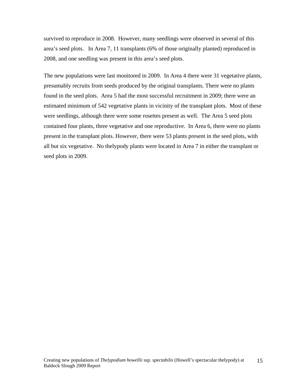survived to reproduce in 2008. However, many seedlings were observed in several of this area's seed plots. In Area 7, 11 transplants (6% of those originally planted) reproduced in 2008, and one seedling was present in this area's seed plots.

The new populations were last monitored in 2009. In Area 4 there were 31 vegetative plants, presumably recruits from seeds produced by the original transplants. There were no plants found in the seed plots. Area 5 had the most successful recruitment in 2009; there were an estimated minimum of 542 vegetative plants in vicinity of the transplant plots. Most of these were seedlings, although there were some rosettes present as well. The Area 5 seed plots contained four plants, three vegetative and one reproductive. In Area 6, there were no plants present in the transplant plots. However, there were 53 plants present in the seed plots, with all but six vegetative. No thelypody plants were located in Area 7 in either the transplant or seed plots in 2009.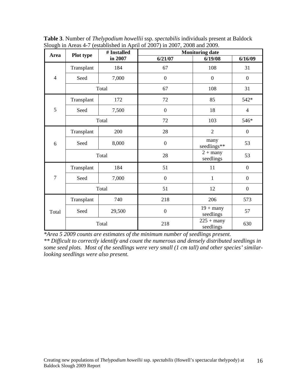| ັ              |            | # Installed | <b>Monitoring date</b> |                           |                  |  |
|----------------|------------|-------------|------------------------|---------------------------|------------------|--|
| Area           | Plot type  | in 2007     | 6/21/07                | 6/19/08                   | 6/16/09          |  |
|                | Transplant | 184         | 67                     | 108                       | 31               |  |
| $\overline{4}$ | Seed       | 7,000       | $\boldsymbol{0}$       | $\boldsymbol{0}$          | $\boldsymbol{0}$ |  |
|                | Total      |             | 67                     | 108                       | 31               |  |
|                | Transplant | 172         | 72                     | 85                        | 542*             |  |
| 5              | Seed       | 7,500       | $\boldsymbol{0}$       | 18                        | $\overline{4}$   |  |
|                | Total      |             | 72                     | 103                       | 546*             |  |
|                | Transplant | 200         | 28                     | $\overline{2}$            | $\boldsymbol{0}$ |  |
| 6              | Seed       | 8,000       | $\boldsymbol{0}$       | many<br>seedlings**       | 53               |  |
|                | Total      |             | 28                     | $2 +$ many<br>seedlings   | 53               |  |
|                | Transplant | 184         | 51                     | 11                        | $\boldsymbol{0}$ |  |
| $\overline{7}$ | Seed       | 7,000       | $\boldsymbol{0}$       | $\mathbf{1}$              | $\boldsymbol{0}$ |  |
|                | Total      |             | 51                     | 12                        | $\boldsymbol{0}$ |  |
|                | Transplant | 740         | 218                    | 206                       | 573              |  |
| Total          | Seed       | 29,500      | $\boldsymbol{0}$       | $19 +$ many<br>seedlings  | 57               |  |
|                | Total      |             | 218                    | $225 +$ many<br>seedlings | 630              |  |

**Table 3**. Number of *Thelypodium howellii* ssp. *spectabilis* individuals present at Baldock Slough in Areas 4-7 (established in April of 2007) in 2007, 2008 and 2009.

*\*Area 5 2009 counts are estimates of the minimum number of seedlings present. \*\* Difficult to correctly identify and count the numerous and densely distributed seedlings in some seed plots. Most of the seedlings were very small (1 cm tall) and other species' similarlooking seedlings were also present.*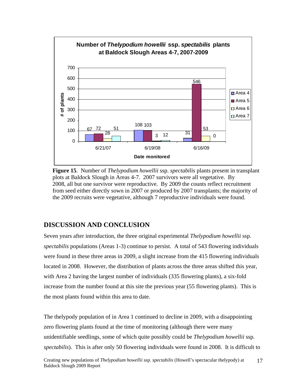

 **Figure 15**. Number of *Thelypodium howellii* ssp. *spectabilis* plants present in transplant plots at Baldock Slough in Areas 4-7. 2007 survivors were all vegetative. By 2008, all but one survivor were reproductive. By 2009 the counts reflect recruitment from seed either directly sown in 2007 or produced by 2007 transplants; the majority of the 2009 recruits were vegetative, although 7 reproductive individuals were found.

## **DISCUSSION AND CONCLUSION**

Seven years after introduction, the three original experimental *Thelypodium howellii* ssp. *spectabilis* populations (Areas 1-3) continue to persist. A total of 543 flowering individuals were found in these three areas in 2009, a slight increase from the 415 flowering individuals located in 2008. However, the distribution of plants across the three areas shifted this year, with Area 2 having the largest number of individuals (335 flowering plants), a six-fold increase from the number found at this site the previous year (55 flowering plants). This is the most plants found within this area to date.

The thelypody population of in Area 1 continued to decline in 2009, with a disappointing zero flowering plants found at the time of monitoring (although there were many unidentifiable seedlings, some of which quite possibly could be *Thelypodium howellii* ssp. *spectabilis*). This is after only 50 flowering individuals were found in 2008. It is difficult to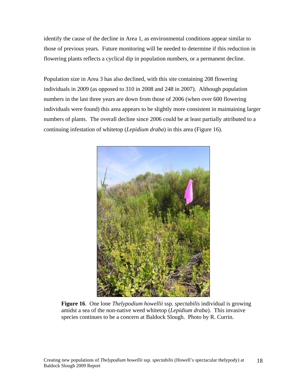identify the cause of the decline in Area 1, as environmental conditions appear similar to those of previous years. Future monitoring will be needed to determine if this reduction in flowering plants reflects a cyclical dip in population numbers, or a permanent decline.

Population size in Area 3 has also declined, with this site containing 208 flowering individuals in 2009 (as opposed to 310 in 2008 and 248 in 2007). Although population numbers in the last three years are down from those of 2006 (when over 600 flowering individuals were found) this area appears to be slightly more consistent in maintaining larger numbers of plants. The overall decline since 2006 could be at least partially attributed to a continuing infestation of whitetop (*Lepidium draba*) in this area (Figure 16).



**Figure 16**. One lone *Thelypodium howellii* ssp. *spectabilis* individual is growing amidst a sea of the non-native weed whitetop (*Lepidium draba*). This invasive species continues to be a concern at Baldock Slough. Photo by R. Currin.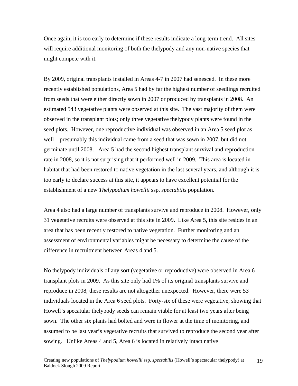Once again, it is too early to determine if these results indicate a long-term trend. All sites will require additional monitoring of both the thelypody and any non-native species that might compete with it.

By 2009, original transplants installed in Areas 4-7 in 2007 had senesced. In these more recently established populations, Area 5 had by far the highest number of seedlings recruited from seeds that were either directly sown in 2007 or produced by transplants in 2008. An estimated 543 vegetative plants were observed at this site. The vast majority of them were observed in the transplant plots; only three vegetative thelypody plants were found in the seed plots. However, one reproductive individual was observed in an Area 5 seed plot as well – presumably this individual came from a seed that was sown in 2007, but did not germinate until 2008. Area 5 had the second highest transplant survival and reproduction rate in 2008, so it is not surprising that it performed well in 2009. This area is located in habitat that had been restored to native vegetation in the last several years, and although it is too early to declare success at this site, it appears to have excellent potential for the establishment of a new *Thelypodium howellii* ssp. *spectabilis* population.

Area 4 also had a large number of transplants survive and reproduce in 2008. However, only 31 vegetative recruits were observed at this site in 2009. Like Area 5, this site resides in an area that has been recently restored to native vegetation. Further monitoring and an assessment of environmental variables might be necessary to determine the cause of the difference in recruitment between Areas 4 and 5.

No thelypody individuals of any sort (vegetative or reproductive) were observed in Area 6 transplant plots in 2009. As this site only had 1% of its original transplants survive and reproduce in 2008, these results are not altogether unexpected. However, there were 53 individuals located in the Area 6 seed plots. Forty-six of these were vegetative, showing that Howell's specatular thelypody seeds can remain viable for at least two years after being sown. The other six plants had bolted and were in flower at the time of monitoring, and assumed to be last year's vegetative recruits that survived to reproduce the second year after sowing. Unlike Areas 4 and 5, Area 6 is located in relatively intact native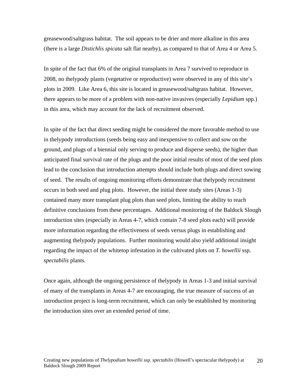greasewood/saltgrass habitat. The soil appears to be drier and more alkaline in this area (there is a large *Distichlis spicata* salt flat nearby), as compared to that of Area 4 or Area 5.

In spite of the fact that 6% of the original transplants in Area 7 survived to reproduce in 2008, no thelypody plants (vegetative or reproductive) were observed in any of this site's plots in 2009. Like Area 6, this site is located in greasewood/saltgrass habitat. However, there appears to be more of a problem with non-native invasives (especially *Lepidium* spp.) in this area, which may account for the lack of recruitment observed.

In spite of the fact that direct seeding might be considered the more favorable method to use in thelypody introductions (seeds being easy and inexpensive to collect and sow on the ground, and plugs of a biennial only serving to produce and disperse seeds), the higher than anticipated final survival rate of the plugs and the poor initial results of most of the seed plots lead to the conclusion that introduction attempts should include both plugs and direct sowing of seed. The results of ongoing monitoring efforts demonstrate that thelypody recruitment occurs in both seed and plug plots. However, the initial three study sites (Areas 1-3) contained many more transplant plug plots than seed plots, limiting the ability to reach definitive conclusions from these percentages. Additional monitoring of the Baldock Slough introduction sites (especially in Areas 4-7, which contain 7-8 seed plots each) will provide more information regarding the effectiveness of seeds versus plugs in establishing and augmenting thelypody populations. Further monitoring would also yield additional insight regarding the impact of the whitetop infestation in the cultivated plots on *T. howellii* ssp. *spectabilis* plants.

Once again, although the ongoing persistence of thelypody in Areas 1-3 and initial survival of many of the transplants in Areas 4-7 are encouraging, the true measure of success of an introduction project is long-term recruitment, which can only be established by monitoring the introduction sites over an extended period of time.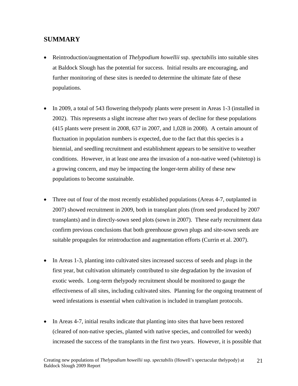## **SUMMARY**

- Reintroduction/augmentation of *Thelypodium howellii* ssp. *spectabilis* into suitable sites at Baldock Slough has the potential for success. Initial results are encouraging, and further monitoring of these sites is needed to determine the ultimate fate of these populations.
- In 2009, a total of 543 flowering thelypody plants were present in Areas 1-3 (installed in 2002). This represents a slight increase after two years of decline for these populations (415 plants were present in 2008, 637 in 2007, and 1,028 in 2008). A certain amount of fluctuation in population numbers is expected, due to the fact that this species is a biennial, and seedling recruitment and establishment appears to be sensitive to weather conditions. However, in at least one area the invasion of a non-native weed (whitetop) is a growing concern, and may be impacting the longer-term ability of these new populations to become sustainable.
- Three out of four of the most recently established populations (Areas 4-7, outplanted in 2007) showed recruitment in 2009, both in transplant plots (from seed produced by 2007 transplants) and in directly-sown seed plots (sown in 2007). These early recruitment data confirm previous conclusions that both greenhouse grown plugs and site-sown seeds are suitable propagules for reintroduction and augmentation efforts (Currin et al. 2007).
- In Areas 1-3, planting into cultivated sites increased success of seeds and plugs in the first year, but cultivation ultimately contributed to site degradation by the invasion of exotic weeds. Long-term thelypody recruitment should be monitored to gauge the effectiveness of all sites, including cultivated sites. Planning for the ongoing treatment of weed infestations is essential when cultivation is included in transplant protocols.
- In Areas 4-7, initial results indicate that planting into sites that have been restored (cleared of non-native species, planted with native species, and controlled for weeds) increased the success of the transplants in the first two years. However, it is possible that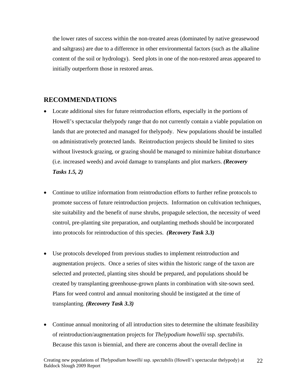the lower rates of success within the non-treated areas (dominated by native greasewood and saltgrass) are due to a difference in other environmental factors (such as the alkaline content of the soil or hydrology). Seed plots in one of the non-restored areas appeared to initially outperform those in restored areas.

## **RECOMMENDATIONS**

- Locate additional sites for future reintroduction efforts, especially in the portions of Howell's spectacular thelypody range that do not currently contain a viable population on lands that are protected and managed for thelypody. New populations should be installed on administratively protected lands. Reintroduction projects should be limited to sites without livestock grazing, or grazing should be managed to minimize habitat disturbance (i.e. increased weeds) and avoid damage to transplants and plot markers. *(Recovery Tasks 1.5, 2)*
- Continue to utilize information from reintroduction efforts to further refine protocols to promote success of future reintroduction projects. Information on cultivation techniques, site suitability and the benefit of nurse shrubs, propagule selection, the necessity of weed control, pre-planting site preparation, and outplanting methods should be incorporated into protocols for reintroduction of this species. *(Recovery Task 3.3)*
- Use protocols developed from previous studies to implement reintroduction and augmentation projects. Once a series of sites within the historic range of the taxon are selected and protected, planting sites should be prepared, and populations should be created by transplanting greenhouse-grown plants in combination with site-sown seed. Plans for weed control and annual monitoring should be instigated at the time of transplanting. *(Recovery Task 3.3)*
- Continue annual monitoring of all introduction sites to determine the ultimate feasibility of reintroduction/augmentation projects for *Thelypodium howellii* ssp. *spectabilis*. Because this taxon is biennial, and there are concerns about the overall decline in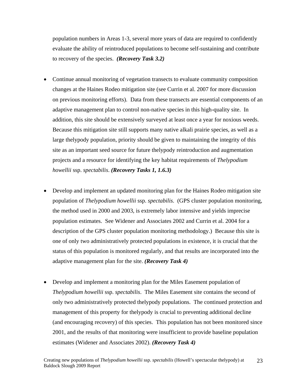population numbers in Areas 1-3, several more years of data are required to confidently evaluate the ability of reintroduced populations to become self-sustaining and contribute to recovery of the species. *(Recovery Task 3.2)*

- Continue annual monitoring of vegetation transects to evaluate community composition changes at the Haines Rodeo mitigation site (see Currin et al. 2007 for more discussion on previous monitoring efforts). Data from these transects are essential components of an adaptive management plan to control non-native species in this high-quality site. In addition, this site should be extensively surveyed at least once a year for noxious weeds. Because this mitigation site still supports many native alkali prairie species, as well as a large thelypody population, priority should be given to maintaining the integrity of this site as an important seed source for future thelypody reintroduction and augmentation projects and a resource for identifying the key habitat requirements of *Thelypodium howellii* ssp. *spectabilis*. *(Recovery Tasks 1, 1.6.3)*
- Develop and implement an updated monitoring plan for the Haines Rodeo mitigation site population of *Thelypodium howellii* ssp. *spectabilis*. (GPS cluster population monitoring, the method used in 2000 and 2003, is extremely labor intensive and yields imprecise population estimates. See Widener and Associates 2002 and Currin et al. 2004 for a description of the GPS cluster population monitoring methodology.) Because this site is one of only two administratively protected populations in existence, it is crucial that the status of this population is monitored regularly, and that results are incorporated into the adaptive management plan for the site. *(Recovery Task 4)*
- Develop and implement a monitoring plan for the Miles Easement population of *Thelypodium howellii* ssp. *spectabilis*. The Miles Easement site contains the second of only two administratively protected thelypody populations. The continued protection and management of this property for thelypody is crucial to preventing additional decline (and encouraging recovery) of this species. This population has not been monitored since 2001, and the results of that monitoring were insufficient to provide baseline population estimates (Widener and Associates 2002). *(Recovery Task 4)*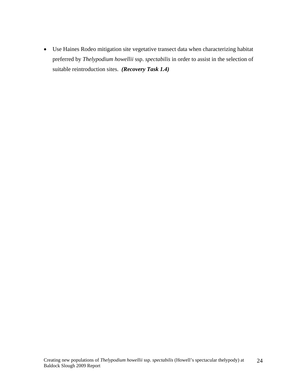• Use Haines Rodeo mitigation site vegetative transect data when characterizing habitat preferred by *Thelypodium howellii* ssp. *spectabilis* in order to assist in the selection of suitable reintroduction sites. *(Recovery Task 1.4)*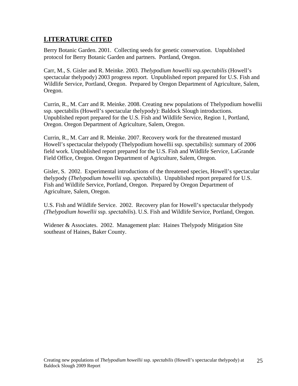## **LITERATURE CITED**

Berry Botanic Garden. 2001. Collecting seeds for genetic conservation. Unpublished protocol for Berry Botanic Garden and partners. Portland, Oregon.

Carr, M., S. Gisler and R. Meinke. 2003. *Thelypodium howellii* ssp.*spectabilis* (Howell's spectacular thelypody) 2003 progress report. Unpublished report prepared for U.S. Fish and Wildlife Service, Portland, Oregon. Prepared by Oregon Department of Agriculture, Salem, Oregon.

Currin, R., M. Carr and R. Meinke. 2008. Creating new populations of Thelypodium howellii ssp. spectabilis (Howell's spectacular thelypody): Baldock Slough introductions. Unpublished report prepared for the U.S. Fish and Wildlife Service, Region 1, Portland, Oregon. Oregon Department of Agriculture, Salem, Oregon.

Currin, R., M. Carr and R. Meinke. 2007. Recovery work for the threatened mustard Howell's spectacular thelypody (Thelypodium howellii ssp. spectabilis): summary of 2006 field work. Unpublished report prepared for the U.S. Fish and Wildlife Service, LaGrande Field Office, Oregon. Oregon Department of Agriculture, Salem, Oregon.

Gisler, S. 2002. Experimental introductions of the threatened species, Howell's spectacular thelypody (*Thelypodium howellii* ssp. *spectabilis*). Unpublished report prepared for U.S. Fish and Wildlife Service, Portland, Oregon. Prepared by Oregon Department of Agriculture, Salem, Oregon.

U.S. Fish and Wildlife Service. 2002. Recovery plan for Howell's spectacular thelypody *(Thelypodium howellii* ssp. *spectabili*s). U.S. Fish and Wildlife Service, Portland, Oregon.

Widener & Associates. 2002. Management plan: Haines Thelypody Mitigation Site southeast of Haines, Baker County.